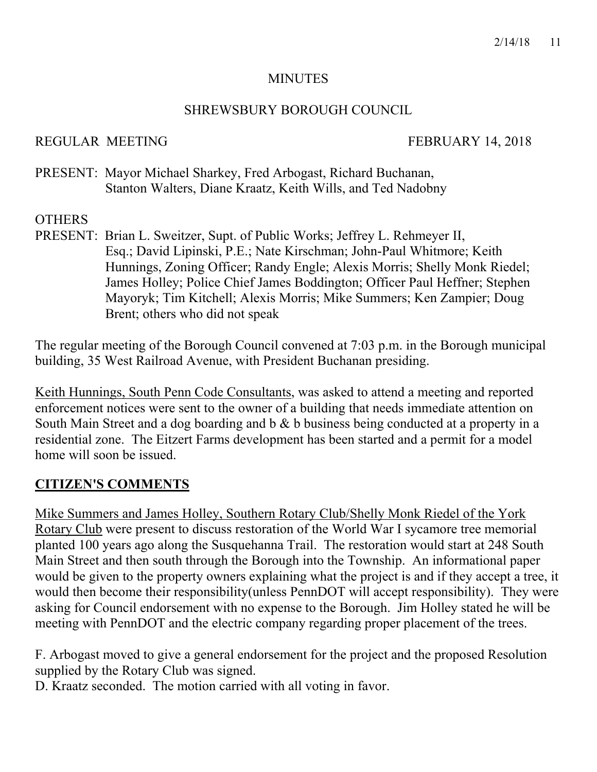#### **MINUTES**

#### SHREWSBURY BOROUGH COUNCIL

#### REGULAR MEETING FEBRUARY 14, 2018

PRESENT: Mayor Michael Sharkey, Fred Arbogast, Richard Buchanan, Stanton Walters, Diane Kraatz, Keith Wills, and Ted Nadobny

### **OTHERS**

PRESENT: Brian L. Sweitzer, Supt. of Public Works; Jeffrey L. Rehmeyer II, Esq.; David Lipinski, P.E.; Nate Kirschman; John-Paul Whitmore; Keith Hunnings, Zoning Officer; Randy Engle; Alexis Morris; Shelly Monk Riedel; James Holley; Police Chief James Boddington; Officer Paul Heffner; Stephen Mayoryk; Tim Kitchell; Alexis Morris; Mike Summers; Ken Zampier; Doug Brent; others who did not speak

The regular meeting of the Borough Council convened at 7:03 p.m. in the Borough municipal building, 35 West Railroad Avenue, with President Buchanan presiding.

Keith Hunnings, South Penn Code Consultants, was asked to attend a meeting and reported enforcement notices were sent to the owner of a building that needs immediate attention on South Main Street and a dog boarding and b & b business being conducted at a property in a residential zone. The Eitzert Farms development has been started and a permit for a model home will soon be issued.

#### **CITIZEN'S COMMENTS**

Mike Summers and James Holley, Southern Rotary Club/Shelly Monk Riedel of the York Rotary Club were present to discuss restoration of the World War I sycamore tree memorial planted 100 years ago along the Susquehanna Trail. The restoration would start at 248 South Main Street and then south through the Borough into the Township. An informational paper would be given to the property owners explaining what the project is and if they accept a tree, it would then become their responsibility(unless PennDOT will accept responsibility). They were asking for Council endorsement with no expense to the Borough. Jim Holley stated he will be meeting with PennDOT and the electric company regarding proper placement of the trees.

F. Arbogast moved to give a general endorsement for the project and the proposed Resolution supplied by the Rotary Club was signed.

D. Kraatz seconded. The motion carried with all voting in favor.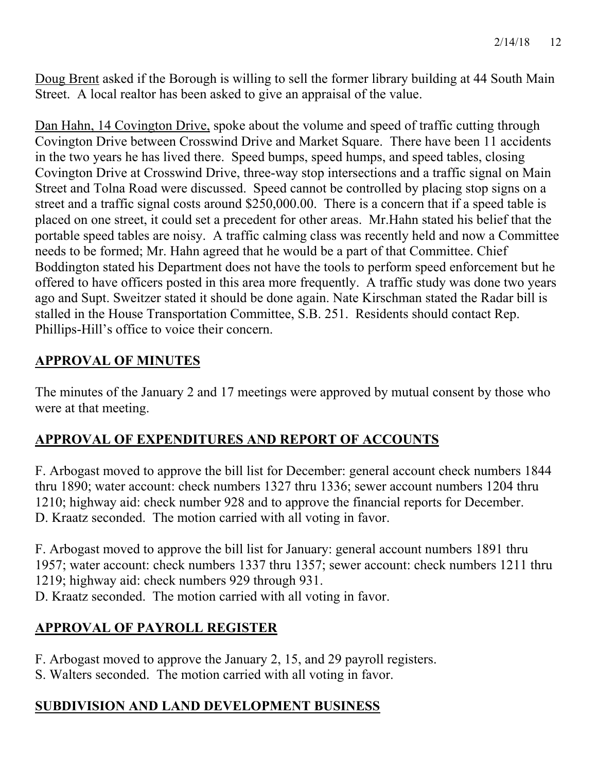Doug Brent asked if the Borough is willing to sell the former library building at 44 South Main Street. A local realtor has been asked to give an appraisal of the value.

Dan Hahn, 14 Covington Drive, spoke about the volume and speed of traffic cutting through Covington Drive between Crosswind Drive and Market Square. There have been 11 accidents in the two years he has lived there. Speed bumps, speed humps, and speed tables, closing Covington Drive at Crosswind Drive, three-way stop intersections and a traffic signal on Main Street and Tolna Road were discussed. Speed cannot be controlled by placing stop signs on a street and a traffic signal costs around \$250,000.00. There is a concern that if a speed table is placed on one street, it could set a precedent for other areas. Mr.Hahn stated his belief that the portable speed tables are noisy. A traffic calming class was recently held and now a Committee needs to be formed; Mr. Hahn agreed that he would be a part of that Committee. Chief Boddington stated his Department does not have the tools to perform speed enforcement but he offered to have officers posted in this area more frequently. A traffic study was done two years ago and Supt. Sweitzer stated it should be done again. Nate Kirschman stated the Radar bill is stalled in the House Transportation Committee, S.B. 251. Residents should contact Rep. Phillips-Hill's office to voice their concern.

# **APPROVAL OF MINUTES**

The minutes of the January 2 and 17 meetings were approved by mutual consent by those who were at that meeting.

# **APPROVAL OF EXPENDITURES AND REPORT OF ACCOUNTS**

F. Arbogast moved to approve the bill list for December: general account check numbers 1844 thru 1890; water account: check numbers 1327 thru 1336; sewer account numbers 1204 thru 1210; highway aid: check number 928 and to approve the financial reports for December. D. Kraatz seconded. The motion carried with all voting in favor.

F. Arbogast moved to approve the bill list for January: general account numbers 1891 thru 1957; water account: check numbers 1337 thru 1357; sewer account: check numbers 1211 thru 1219; highway aid: check numbers 929 through 931.

D. Kraatz seconded. The motion carried with all voting in favor.

# **APPROVAL OF PAYROLL REGISTER**

F. Arbogast moved to approve the January 2, 15, and 29 payroll registers.

S. Walters seconded. The motion carried with all voting in favor.

# **SUBDIVISION AND LAND DEVELOPMENT BUSINESS**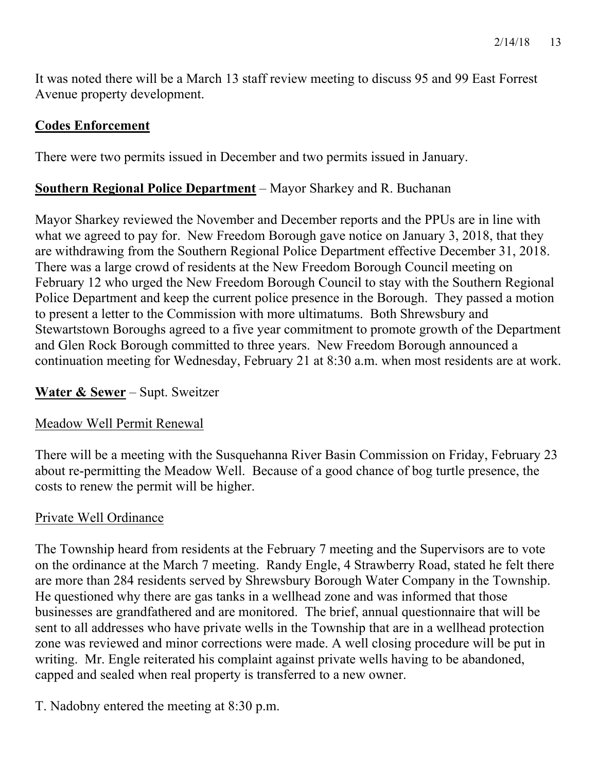It was noted there will be a March 13 staff review meeting to discuss 95 and 99 East Forrest Avenue property development.

#### **Codes Enforcement**

There were two permits issued in December and two permits issued in January.

#### **Southern Regional Police Department** – Mayor Sharkey and R. Buchanan

Mayor Sharkey reviewed the November and December reports and the PPUs are in line with what we agreed to pay for. New Freedom Borough gave notice on January 3, 2018, that they are withdrawing from the Southern Regional Police Department effective December 31, 2018. There was a large crowd of residents at the New Freedom Borough Council meeting on February 12 who urged the New Freedom Borough Council to stay with the Southern Regional Police Department and keep the current police presence in the Borough. They passed a motion to present a letter to the Commission with more ultimatums. Both Shrewsbury and Stewartstown Boroughs agreed to a five year commitment to promote growth of the Department and Glen Rock Borough committed to three years. New Freedom Borough announced a continuation meeting for Wednesday, February 21 at 8:30 a.m. when most residents are at work.

#### **Water & Sewer** – Supt. Sweitzer

#### Meadow Well Permit Renewal

There will be a meeting with the Susquehanna River Basin Commission on Friday, February 23 about re-permitting the Meadow Well. Because of a good chance of bog turtle presence, the costs to renew the permit will be higher.

#### Private Well Ordinance

The Township heard from residents at the February 7 meeting and the Supervisors are to vote on the ordinance at the March 7 meeting. Randy Engle, 4 Strawberry Road, stated he felt there are more than 284 residents served by Shrewsbury Borough Water Company in the Township. He questioned why there are gas tanks in a wellhead zone and was informed that those businesses are grandfathered and are monitored. The brief, annual questionnaire that will be sent to all addresses who have private wells in the Township that are in a wellhead protection zone was reviewed and minor corrections were made. A well closing procedure will be put in writing. Mr. Engle reiterated his complaint against private wells having to be abandoned, capped and sealed when real property is transferred to a new owner.

T. Nadobny entered the meeting at 8:30 p.m.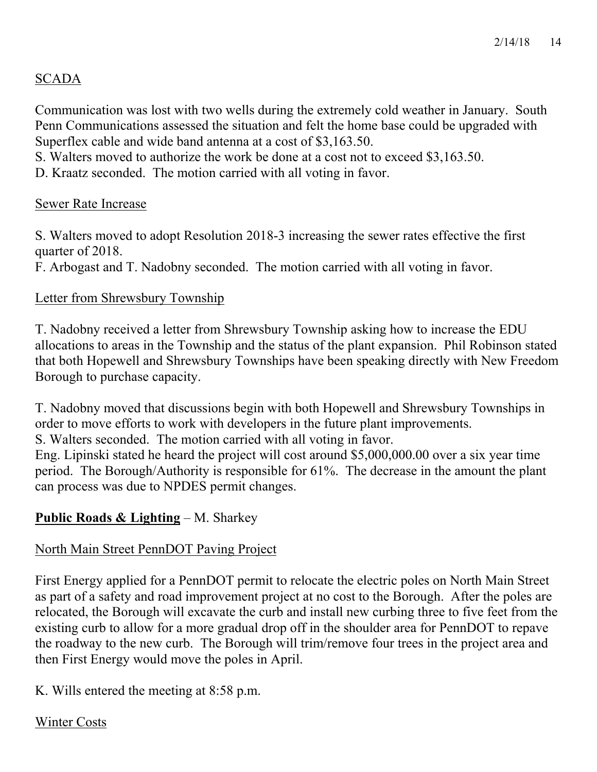# SCADA

Communication was lost with two wells during the extremely cold weather in January. South Penn Communications assessed the situation and felt the home base could be upgraded with Superflex cable and wide band antenna at a cost of \$3,163.50.

S. Walters moved to authorize the work be done at a cost not to exceed \$3,163.50.

D. Kraatz seconded. The motion carried with all voting in favor.

#### Sewer Rate Increase

S. Walters moved to adopt Resolution 2018-3 increasing the sewer rates effective the first quarter of 2018.

F. Arbogast and T. Nadobny seconded. The motion carried with all voting in favor.

### Letter from Shrewsbury Township

T. Nadobny received a letter from Shrewsbury Township asking how to increase the EDU allocations to areas in the Township and the status of the plant expansion. Phil Robinson stated that both Hopewell and Shrewsbury Townships have been speaking directly with New Freedom Borough to purchase capacity.

T. Nadobny moved that discussions begin with both Hopewell and Shrewsbury Townships in order to move efforts to work with developers in the future plant improvements.

S. Walters seconded. The motion carried with all voting in favor.

Eng. Lipinski stated he heard the project will cost around \$5,000,000.00 over a six year time period. The Borough/Authority is responsible for 61%. The decrease in the amount the plant can process was due to NPDES permit changes.

# **Public Roads & Lighting** – M. Sharkey

# North Main Street PennDOT Paving Project

First Energy applied for a PennDOT permit to relocate the electric poles on North Main Street as part of a safety and road improvement project at no cost to the Borough. After the poles are relocated, the Borough will excavate the curb and install new curbing three to five feet from the existing curb to allow for a more gradual drop off in the shoulder area for PennDOT to repave the roadway to the new curb. The Borough will trim/remove four trees in the project area and then First Energy would move the poles in April.

K. Wills entered the meeting at 8:58 p.m.

#### Winter Costs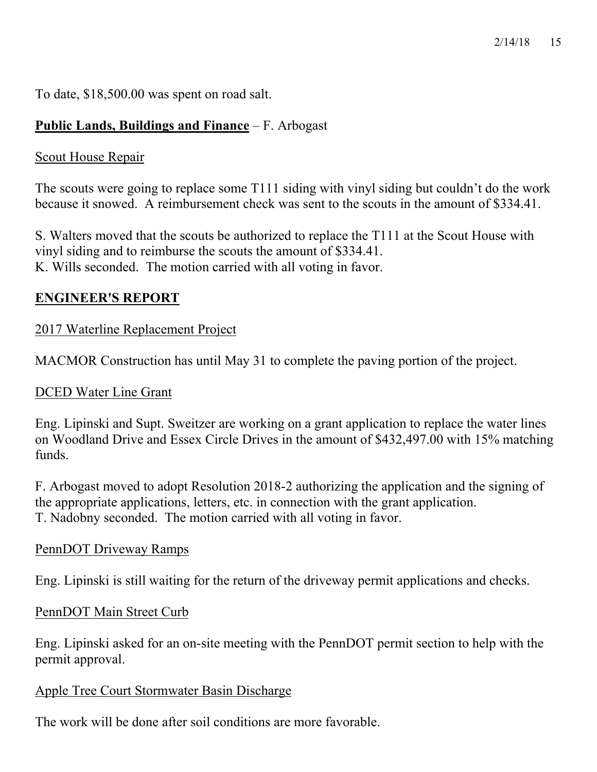To date, \$18,500.00 was spent on road salt.

# **Public Lands, Buildings and Finance** – F. Arbogast

# Scout House Repair

The scouts were going to replace some T111 siding with vinyl siding but couldn't do the work because it snowed. A reimbursement check was sent to the scouts in the amount of \$334.41.

S. Walters moved that the scouts be authorized to replace the T111 at the Scout House with vinyl siding and to reimburse the scouts the amount of \$334.41. K. Wills seconded. The motion carried with all voting in favor.

# **ENGINEER'S REPORT**

# 2017 Waterline Replacement Project

MACMOR Construction has until May 31 to complete the paving portion of the project.

# DCED Water Line Grant

Eng. Lipinski and Supt. Sweitzer are working on a grant application to replace the water lines on Woodland Drive and Essex Circle Drives in the amount of \$432,497.00 with 15% matching funds.

F. Arbogast moved to adopt Resolution 2018-2 authorizing the application and the signing of the appropriate applications, letters, etc. in connection with the grant application. T. Nadobny seconded. The motion carried with all voting in favor.

# PennDOT Driveway Ramps

Eng. Lipinski is still waiting for the return of the driveway permit applications and checks.

#### PennDOT Main Street Curb

Eng. Lipinski asked for an on-site meeting with the PennDOT permit section to help with the permit approval.

#### Apple Tree Court Stormwater Basin Discharge

The work will be done after soil conditions are more favorable.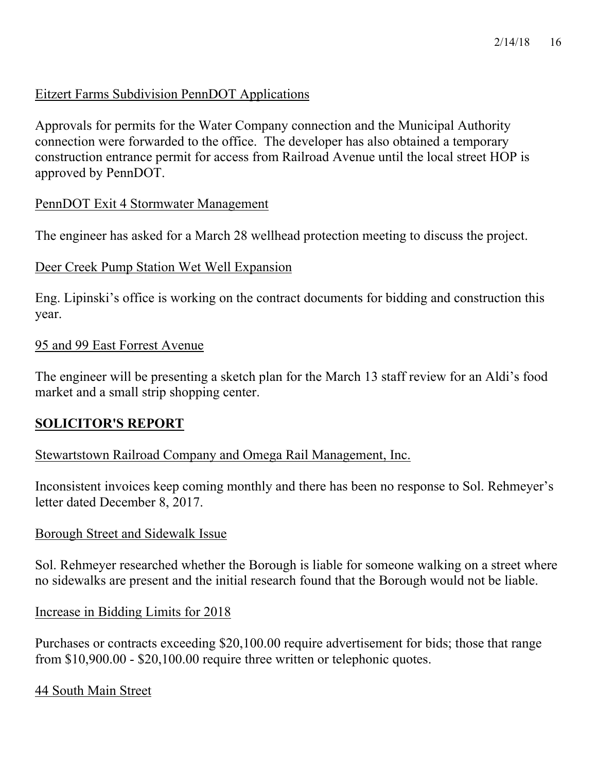#### Eitzert Farms Subdivision PennDOT Applications

Approvals for permits for the Water Company connection and the Municipal Authority connection were forwarded to the office. The developer has also obtained a temporary construction entrance permit for access from Railroad Avenue until the local street HOP is approved by PennDOT.

#### PennDOT Exit 4 Stormwater Management

The engineer has asked for a March 28 wellhead protection meeting to discuss the project.

#### Deer Creek Pump Station Wet Well Expansion

Eng. Lipinski's office is working on the contract documents for bidding and construction this year.

#### 95 and 99 East Forrest Avenue

The engineer will be presenting a sketch plan for the March 13 staff review for an Aldi's food market and a small strip shopping center.

#### **SOLICITOR'S REPORT**

#### Stewartstown Railroad Company and Omega Rail Management, Inc.

Inconsistent invoices keep coming monthly and there has been no response to Sol. Rehmeyer's letter dated December 8, 2017.

#### Borough Street and Sidewalk Issue

Sol. Rehmeyer researched whether the Borough is liable for someone walking on a street where no sidewalks are present and the initial research found that the Borough would not be liable.

Increase in Bidding Limits for 2018

Purchases or contracts exceeding \$20,100.00 require advertisement for bids; those that range from \$10,900.00 - \$20,100.00 require three written or telephonic quotes.

44 South Main Street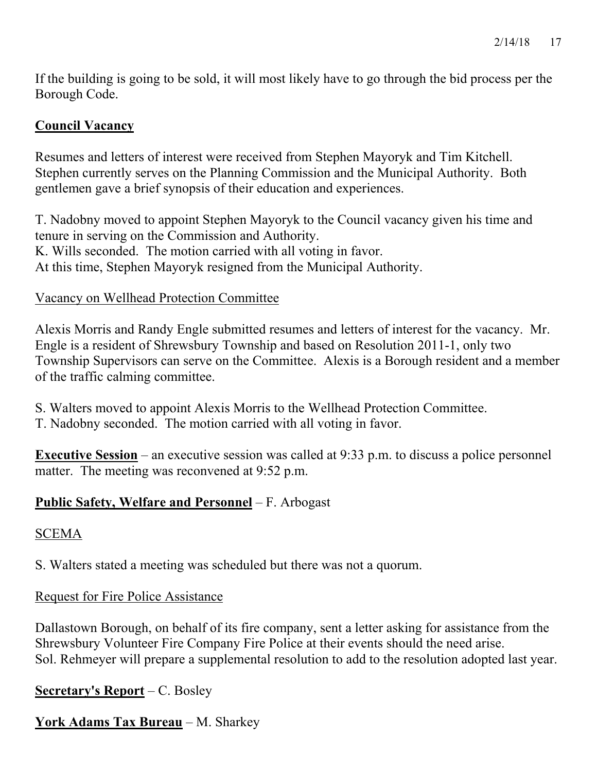If the building is going to be sold, it will most likely have to go through the bid process per the Borough Code.

# **Council Vacancy**

Resumes and letters of interest were received from Stephen Mayoryk and Tim Kitchell. Stephen currently serves on the Planning Commission and the Municipal Authority. Both gentlemen gave a brief synopsis of their education and experiences.

T. Nadobny moved to appoint Stephen Mayoryk to the Council vacancy given his time and tenure in serving on the Commission and Authority. K. Wills seconded. The motion carried with all voting in favor. At this time, Stephen Mayoryk resigned from the Municipal Authority.

# Vacancy on Wellhead Protection Committee

Alexis Morris and Randy Engle submitted resumes and letters of interest for the vacancy. Mr. Engle is a resident of Shrewsbury Township and based on Resolution 2011-1, only two Township Supervisors can serve on the Committee. Alexis is a Borough resident and a member of the traffic calming committee.

- S. Walters moved to appoint Alexis Morris to the Wellhead Protection Committee.
- T. Nadobny seconded. The motion carried with all voting in favor.

**Executive Session** – an executive session was called at 9:33 p.m. to discuss a police personnel matter. The meeting was reconvened at 9:52 p.m.

# **Public Safety, Welfare and Personnel** – F. Arbogast

# SCEMA

S. Walters stated a meeting was scheduled but there was not a quorum.

# Request for Fire Police Assistance

Dallastown Borough, on behalf of its fire company, sent a letter asking for assistance from the Shrewsbury Volunteer Fire Company Fire Police at their events should the need arise. Sol. Rehmeyer will prepare a supplemental resolution to add to the resolution adopted last year.

# **Secretary's Report** – C. Bosley

**York Adams Tax Bureau** – M. Sharkey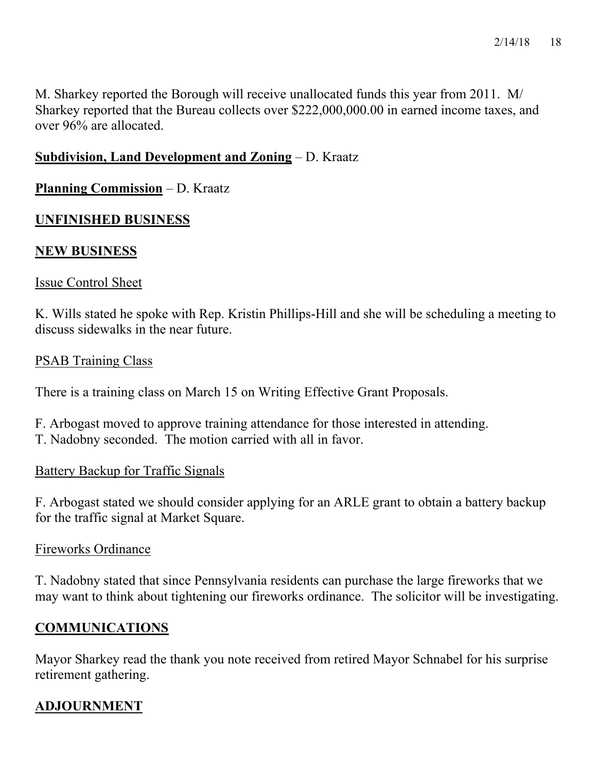M. Sharkey reported the Borough will receive unallocated funds this year from 2011. M/ Sharkey reported that the Bureau collects over \$222,000,000.00 in earned income taxes, and over 96% are allocated.

# **Subdivision, Land Development and Zoning** – D. Kraatz

#### **Planning Commission** – D. Kraatz

### **UNFINISHED BUSINESS**

### **NEW BUSINESS**

#### Issue Control Sheet

K. Wills stated he spoke with Rep. Kristin Phillips-Hill and she will be scheduling a meeting to discuss sidewalks in the near future.

#### PSAB Training Class

There is a training class on March 15 on Writing Effective Grant Proposals.

F. Arbogast moved to approve training attendance for those interested in attending. T. Nadobny seconded. The motion carried with all in favor.

#### Battery Backup for Traffic Signals

F. Arbogast stated we should consider applying for an ARLE grant to obtain a battery backup for the traffic signal at Market Square.

#### Fireworks Ordinance

T. Nadobny stated that since Pennsylvania residents can purchase the large fireworks that we may want to think about tightening our fireworks ordinance. The solicitor will be investigating.

# **COMMUNICATIONS**

Mayor Sharkey read the thank you note received from retired Mayor Schnabel for his surprise retirement gathering.

# **ADJOURNMENT**